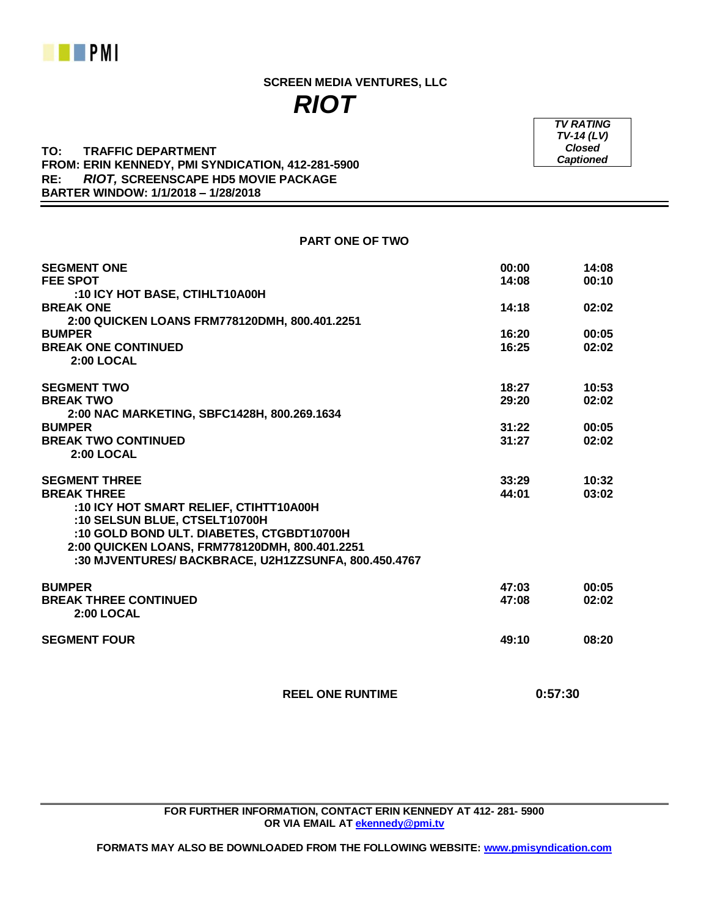

 **SCREEN MEDIA VENTURES, LLC** *RIOT*

## **TO: TRAFFIC DEPARTMENT FROM: ERIN KENNEDY, PMI SYNDICATION, 412-281-5900 RE:** *RIOT,* **SCREENSCAPE HD5 MOVIE PACKAGE BARTER WINDOW: 1/1/2018 – 1/28/2018**

**SEGMENT ONE 00:00 14:08 FEE SPOT 14:08 00:10 :10 ICY HOT BASE, CTIHLT10A00H BREAK ONE 14:18 02:02 2:00 QUICKEN LOANS FRM778120DMH, 800.401.2251 BUMPER 16:20 00:05 BREAK ONE CONTINUED 16:25 02:02 2:00 LOCAL SEGMENT TWO 18:27 10:53 BREAK TWO 29:20 02:02 2:00 NAC MARKETING, SBFC1428H, 800.269.1634 BUMPER 31:22 00:05 BREAK TWO CONTINUED 31:27 02:02 2:00 LOCAL SEGMENT THREE 33:29 10:32 BREAK THREE 44:01 03:02 :10 ICY HOT SMART RELIEF, CTIHTT10A00H :10 SELSUN BLUE, CTSELT10700H :10 GOLD BOND ULT. DIABETES, CTGBDT10700H 2:00 QUICKEN LOANS, FRM778120DMH, 800.401.2251 :30 MJVENTURES/ BACKBRACE, U2H1ZZSUNFA, 800.450.4767 BUMPER 47:03 00:05 BREAK THREE CONTINUED 47:08 02:02 2:00 LOCAL SEGMENT FOUR 49:10 08:20**

 **REEL ONE RUNTIME 0:57:30**

**FOR FURTHER INFORMATION, CONTACT ERIN KENNEDY AT 412- 281- 5900 OR VIA EMAIL AT [ekennedy@pmi.tv](mailto:ekennedy@pmi.tv)**

**FORMATS MAY ALSO BE DOWNLOADED FROM THE FOLLOWING WEBSITE: [www.pmisyndication.com](http://www.pmisyndication.com/)**

*TV RATING TV-14 (LV) Closed Captioned*

**PART ONE OF TWO**